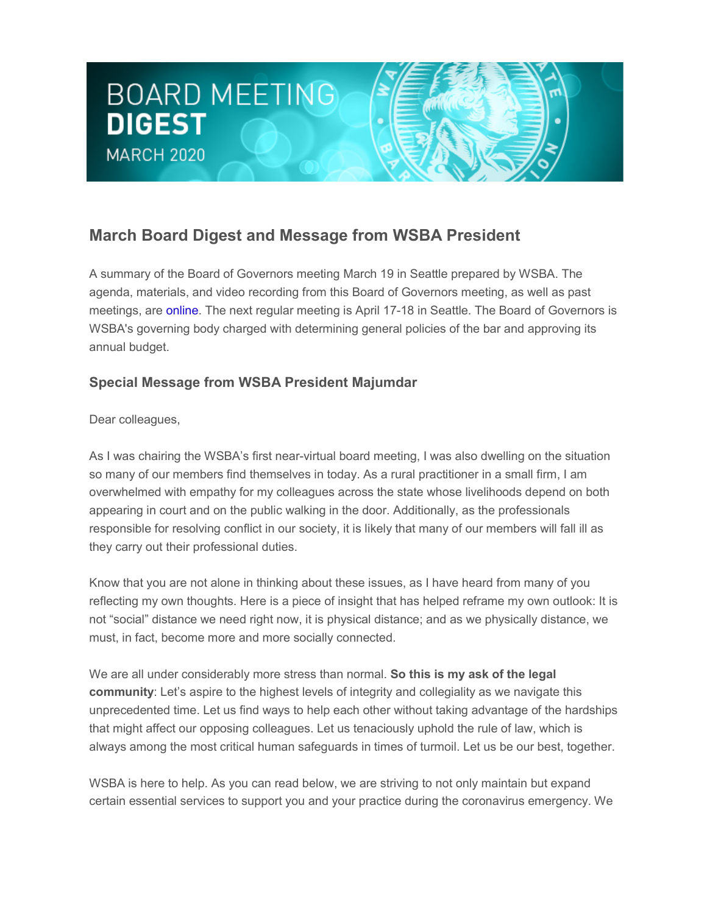# **BOARD MEETING DIGEST MARCH 2020**

## **March Board Digest and Message from WSBA President**

A summary of the Board of Governors meeting March 19 in Seattle prepared by WSBA. The agenda, materials, and video recording from this Board of Governors meeting, as well as past meetings, are [online.](http://wsba.informz.net/z/cjUucD9taT0yOTA5NTEzJnA9MSZ1PTM3MjU0ODkxOSZsaT0yMzA1OTczMw/index.html) The next regular meeting is April 17-18 in Seattle. The Board of Governors is WSBA's governing body charged with determining general policies of the bar and approving its annual budget.

### **Special Message from WSBA President Majumdar**

Dear colleagues,

As I was chairing the WSBA's first near-virtual board meeting, I was also dwelling on the situation so many of our members find themselves in today. As a rural practitioner in a small firm, I am overwhelmed with empathy for my colleagues across the state whose livelihoods depend on both appearing in court and on the public walking in the door. Additionally, as the professionals responsible for resolving conflict in our society, it is likely that many of our members will fall ill as they carry out their professional duties.

Know that you are not alone in thinking about these issues, as I have heard from many of you reflecting my own thoughts. Here is a piece of insight that has helped reframe my own outlook: It is not "social" distance we need right now, it is physical distance; and as we physically distance, we must, in fact, become more and more socially connected.

We are all under considerably more stress than normal. **So this is my ask of the legal community**: Let's aspire to the highest levels of integrity and collegiality as we navigate this unprecedented time. Let us find ways to help each other without taking advantage of the hardships that might affect our opposing colleagues. Let us tenaciously uphold the rule of law, which is always among the most critical human safeguards in times of turmoil. Let us be our best, together.

WSBA is here to help. As you can read below, we are striving to not only maintain but expand certain essential services to support you and your practice during the coronavirus emergency. We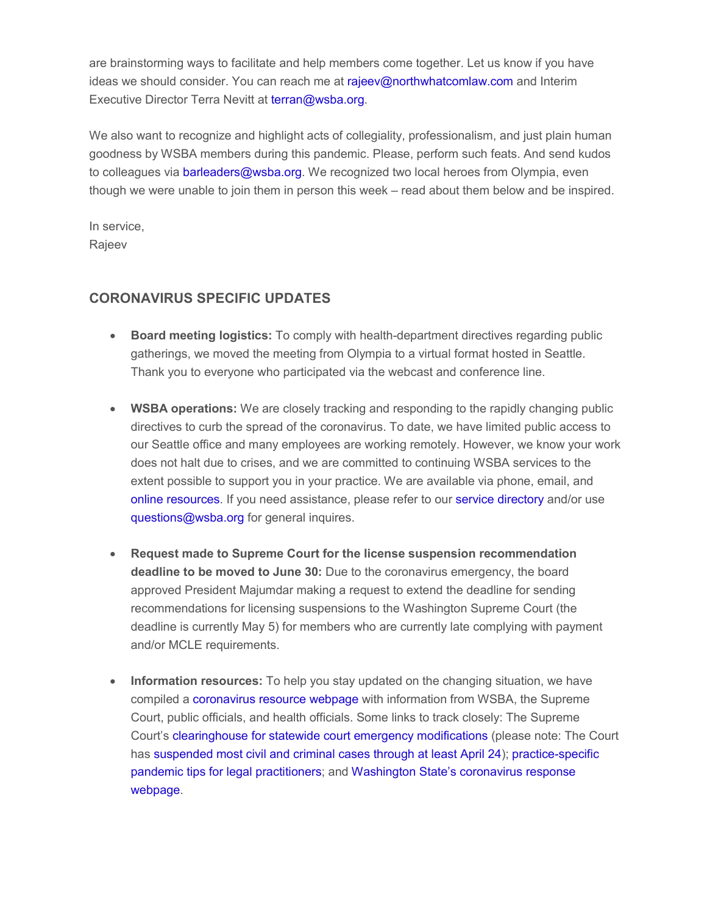are brainstorming ways to facilitate and help members come together. Let us know if you have ideas we should consider. You can reach me at [rajeev@northwhatcomlaw.com](mailto:rajeev@northwhatcomlaw.com) and Interim Executive Director Terra Nevitt at [terran@wsba.org.](mailto:terran@wsba.org)

We also want to recognize and highlight acts of collegiality, professionalism, and just plain human goodness by WSBA members during this pandemic. Please, perform such feats. And send kudos to colleagues via [barleaders@wsba.org.](mailto:barleaders@wsba.org) We recognized two local heroes from Olympia, even though we were unable to join them in person this week – read about them below and be inspired.

In service, Rajeev

### **CORONAVIRUS SPECIFIC UPDATES**

- **Board meeting logistics:** To comply with health-department directives regarding public gatherings, we moved the meeting from Olympia to a virtual format hosted in Seattle. Thank you to everyone who participated via the webcast and conference line.
- **WSBA operations:** We are closely tracking and responding to the rapidly changing public directives to curb the spread of the coronavirus. To date, we have limited public access to our Seattle office and many employees are working remotely. However, we know your work does not halt due to crises, and we are committed to continuing WSBA services to the extent possible to support you in your practice. We are available via phone, email, and [online resources.](http://wsba.informz.net/z/cjUucD9taT0yOTA5NTEzJnA9MSZ1PTM3MjU0ODkxOSZsaT0yMzA1OTczNw/index.html) If you need assistance, please refer to our [service directory](http://wsba.informz.net/z/cjUucD9taT0yOTA5NTEzJnA9MSZ1PTM3MjU0ODkxOSZsaT0yMzA1OTczOA/index.html) and/or use [questions@wsba.org](mailto:questions@wsba.org) for general inquires.
- **Request made to Supreme Court for the license suspension recommendation deadline to be moved to June 30:** Due to the coronavirus emergency, the board approved President Majumdar making a request to extend the deadline for sending recommendations for licensing suspensions to the Washington Supreme Court (the deadline is currently May 5) for members who are currently late complying with payment and/or MCLE requirements.
- **Information resources:** To help you stay updated on the changing situation, we have compiled a [coronavirus resource webpage](http://wsba.informz.net/z/cjUucD9taT0yOTA5NTEzJnA9MSZ1PTM3MjU0ODkxOSZsaT0yMzA1OTczNw/index.html) with information from WSBA, the Supreme Court, public officials, and health officials. Some links to track closely: The Supreme Court's [clearinghouse for statewide court emergency modifications](http://wsba.informz.net/z/cjUucD9taT0yOTA5NTEzJnA9MSZ1PTM3MjU0ODkxOSZsaT0yMzA1OTczOQ/index.html) (please note: The Court has [suspended most civil and criminal cases through at least April 24\)](http://wsba.informz.net/z/cjUucD9taT0yOTA5NTEzJnA9MSZ1PTM3MjU0ODkxOSZsaT0yMzA1OTc0MA/index.html); [practice-specific](http://wsba.informz.net/z/cjUucD9taT0yOTA5NTEzJnA9MSZ1PTM3MjU0ODkxOSZsaT0yMzA1OTc0MQ/index.html)  [pandemic tips for legal practitioners;](http://wsba.informz.net/z/cjUucD9taT0yOTA5NTEzJnA9MSZ1PTM3MjU0ODkxOSZsaT0yMzA1OTc0MQ/index.html) and [Washington State's coronavirus response](http://wsba.informz.net/z/cjUucD9taT0yOTA5NTEzJnA9MSZ1PTM3MjU0ODkxOSZsaT0yMzA1OTc0Mg/index.html)  [webpage.](http://wsba.informz.net/z/cjUucD9taT0yOTA5NTEzJnA9MSZ1PTM3MjU0ODkxOSZsaT0yMzA1OTc0Mg/index.html)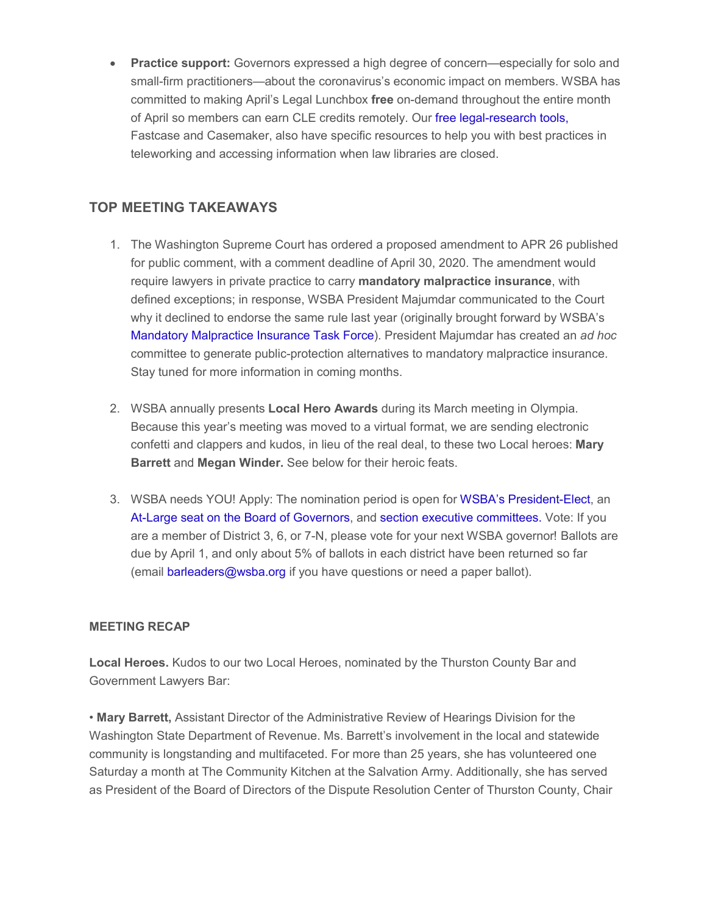**Practice support:** Governors expressed a high degree of concern—especially for solo and small-firm practitioners—about the coronavirus's economic impact on members. WSBA has committed to making April's Legal Lunchbox **free** on-demand throughout the entire month of April so members can earn CLE credits remotely. Our [free legal-research tools,](http://wsba.informz.net/z/cjUucD9taT0yOTA5NTEzJnA9MSZ1PTM3MjU0ODkxOSZsaT0yMzA1OTc0Mw/index.html) Fastcase and Casemaker, also have specific resources to help you with best practices in teleworking and accessing information when law libraries are closed.

#### **TOP MEETING TAKEAWAYS**

- 1. The Washington Supreme Court has ordered a proposed amendment to APR 26 published for public comment, with a comment deadline of April 30, 2020. The amendment would require lawyers in private practice to carry **mandatory malpractice insurance**, with defined exceptions; in response, WSBA President Majumdar communicated to the Court why it declined to endorse the same rule last year (originally brought forward by WSBA's [Mandatory Malpractice Insurance Task Force\)](http://wsba.informz.net/z/cjUucD9taT0yOTA5NTEzJnA9MSZ1PTM3MjU0ODkxOSZsaT0yMzA1OTc0NA/index.html). President Majumdar has created an *ad hoc* committee to generate public-protection alternatives to mandatory malpractice insurance. Stay tuned for more information in coming months.
- 2. WSBA annually presents **Local Hero Awards** during its March meeting in Olympia. Because this year's meeting was moved to a virtual format, we are sending electronic confetti and clappers and kudos, in lieu of the real deal, to these two Local heroes: **Mary Barrett** and **Megan Winder.** See below for their heroic feats.
- 3. WSBA needs YOU! Apply: The nomination period is open for [WSBA's President-Elect,](http://wsba.informz.net/z/cjUucD9taT0yOTA5NTEzJnA9MSZ1PTM3MjU0ODkxOSZsaT0yMzA1OTc0NQ/index.html) an [At-Large seat on the Board of Governors,](http://wsba.informz.net/z/cjUucD9taT0yOTA5NTEzJnA9MSZ1PTM3MjU0ODkxOSZsaT0yMzA1OTc0NQ/index.html) and [section executive committees.](http://wsba.informz.net/z/cjUucD9taT0yOTA5NTEzJnA9MSZ1PTM3MjU0ODkxOSZsaT0yMzA1OTc0Ng/index.html) Vote: If you are a member of District 3, 6, or 7-N, please vote for your next WSBA governor! Ballots are due by April 1, and only about 5% of ballots in each district have been returned so far (email [barleaders@wsba.org](mailto:barleaders@wsba.org) if you have questions or need a paper ballot).

#### **MEETING RECAP**

**Local Heroes.** Kudos to our two Local Heroes, nominated by the Thurston County Bar and Government Lawyers Bar:

• **Mary Barrett,** Assistant Director of the Administrative Review of Hearings Division for the Washington State Department of Revenue. Ms. Barrett's involvement in the local and statewide community is longstanding and multifaceted. For more than 25 years, she has volunteered one Saturday a month at The Community Kitchen at the Salvation Army. Additionally, she has served as President of the Board of Directors of the Dispute Resolution Center of Thurston County, Chair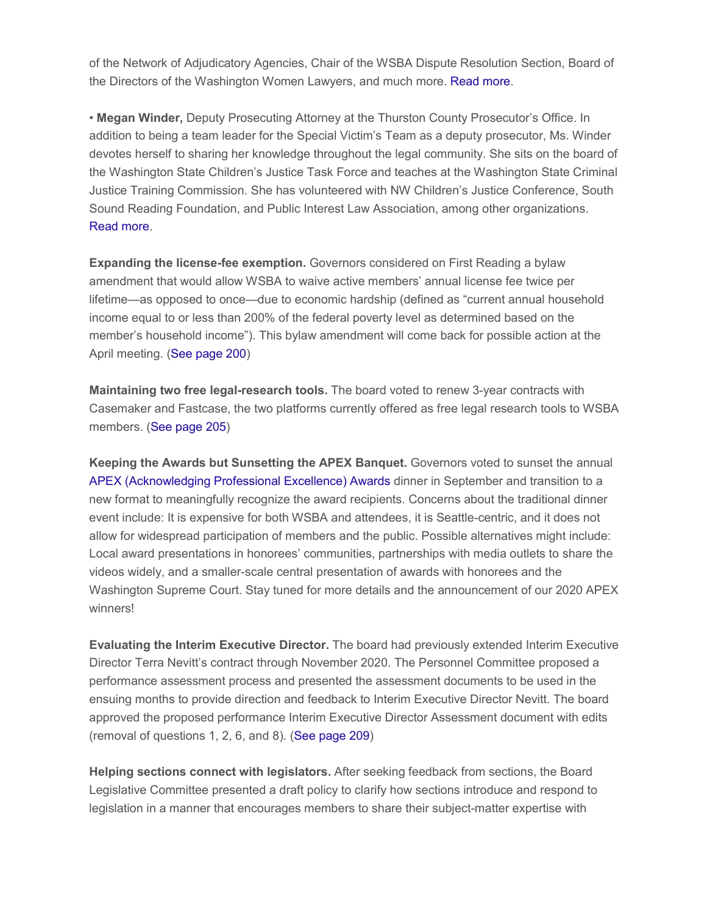of the Network of Adjudicatory Agencies, Chair of the WSBA Dispute Resolution Section, Board of the Directors of the Washington Women Lawyers, and much more. [Read more.](http://wsba.informz.net/z/cjUucD9taT0yOTA5NTEzJnA9MSZ1PTM3MjU0ODkxOSZsaT0yMzA1OTc0Nw/index.html)

• **Megan Winder,** Deputy Prosecuting Attorney at the Thurston County Prosecutor's Office. In addition to being a team leader for the Special Victim's Team as a deputy prosecutor, Ms. Winder devotes herself to sharing her knowledge throughout the legal community. She sits on the board of the Washington State Children's Justice Task Force and teaches at the Washington State Criminal Justice Training Commission. She has volunteered with NW Children's Justice Conference, South Sound Reading Foundation, and Public Interest Law Association, among other organizations. [Read more.](http://wsba.informz.net/z/cjUucD9taT0yOTA5NTEzJnA9MSZ1PTM3MjU0ODkxOSZsaT0yMzA1OTc0OA/index.html)

**Expanding the license-fee exemption.** Governors considered on First Reading a bylaw amendment that would allow WSBA to waive active members' annual license fee twice per lifetime—as opposed to once—due to economic hardship (defined as "current annual household income equal to or less than 200% of the federal poverty level as determined based on the member's household income"). This bylaw amendment will come back for possible action at the April meeting. [\(See page 200\)](http://wsba.informz.net/z/cjUucD9taT0yOTA5NTEzJnA9MSZ1PTM3MjU0ODkxOSZsaT0yMzA1OTc0OQ/index.html)

**Maintaining two free legal-research tools.** The board voted to renew 3-year contracts with Casemaker and Fastcase, the two platforms currently offered as free legal research tools to WSBA members. [\(See page 205\)](http://wsba.informz.net/z/cjUucD9taT0yOTA5NTEzJnA9MSZ1PTM3MjU0ODkxOSZsaT0yMzA1OTc0OQ/index.html)

**Keeping the Awards but Sunsetting the APEX Banquet.** Governors voted to sunset the annual [APEX \(Acknowledging Professional Excellence\) Awards](http://wsba.informz.net/z/cjUucD9taT0yOTA5NTEzJnA9MSZ1PTM3MjU0ODkxOSZsaT0yMzA1OTc1MA/index.html) dinner in September and transition to a new format to meaningfully recognize the award recipients. Concerns about the traditional dinner event include: It is expensive for both WSBA and attendees, it is Seattle-centric, and it does not allow for widespread participation of members and the public. Possible alternatives might include: Local award presentations in honorees' communities, partnerships with media outlets to share the videos widely, and a smaller-scale central presentation of awards with honorees and the Washington Supreme Court. Stay tuned for more details and the announcement of our 2020 APEX winners!

**Evaluating the Interim Executive Director.** The board had previously extended Interim Executive Director Terra Nevitt's contract through November 2020. The Personnel Committee proposed a performance assessment process and presented the assessment documents to be used in the ensuing months to provide direction and feedback to Interim Executive Director Nevitt. The board approved the proposed performance Interim Executive Director Assessment document with edits (removal of questions 1, 2, 6, and 8). [\(See page 209\)](http://wsba.informz.net/z/cjUucD9taT0yOTA5NTEzJnA9MSZ1PTM3MjU0ODkxOSZsaT0yMzA1OTc0OQ/index.html)

**Helping sections connect with legislators.** After seeking feedback from sections, the Board Legislative Committee presented a draft policy to clarify how sections introduce and respond to legislation in a manner that encourages members to share their subject-matter expertise with